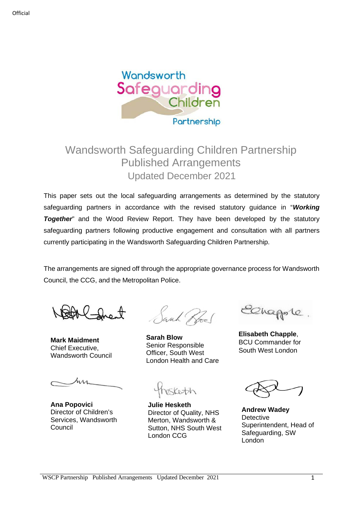

# Wandsworth Safeguarding Children Partnership Published Arrangements Updated December 2021

This paper sets out the local safeguarding arrangements as determined by the statutory safeguarding partners in accordance with the revised statutory guidance in "*Working*  **Together**" and the Wood Review Report. They have been developed by the statutory safeguarding partners following productive engagement and consultation with all partners currently participating in the Wandsworth Safeguarding Children Partnership.

The arrangements are signed off through the appropriate governance process for Wandsworth Council, the CCG, and the Metropolitan Police.

**Mark Maidment** Chief Executive, Wandsworth Council

**Ana Popovici** Director of Children's Services, Wandsworth Council

Jacob Rol

**Sarah Blow** Senior Responsible Officer, South West London Health and Care

Sketch

**Julie Hesketh** Director of Quality, NHS Merton, Wandsworth & Sutton, NHS South West London CCG

Ohapole

**Elisabeth Chapple**, BCU Commander for South West London

**Andrew Wadey Detective** Superintendent, Head of Safeguarding, SW London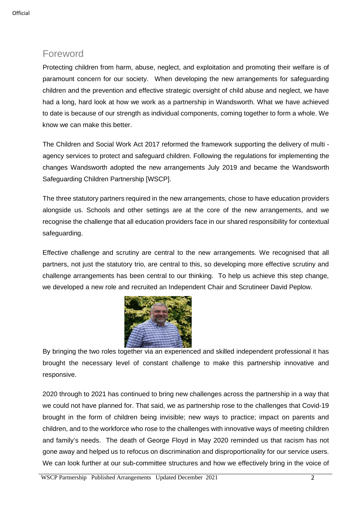# Foreword

Protecting children from harm, abuse, neglect, and exploitation and promoting their welfare is of paramount concern for our society. When developing the new arrangements for safeguarding children and the prevention and effective strategic oversight of child abuse and neglect, we have had a long, hard look at how we work as a partnership in Wandsworth. What we have achieved to date is because of our strength as individual components, coming together to form a whole. We know we can make this better.

The Children and Social Work Act 2017 reformed the framework supporting the delivery of multi agency services to protect and safeguard children. Following the regulations for implementing the changes Wandsworth adopted the new arrangements July 2019 and became the Wandsworth Safeguarding Children Partnership [WSCP].

The three statutory partners required in the new arrangements, chose to have education providers alongside us. Schools and other settings are at the core of the new arrangements, and we recognise the challenge that all education providers face in our shared responsibility for contextual safeguarding.

Effective challenge and scrutiny are central to the new arrangements. We recognised that all partners, not just the statutory trio, are central to this, so developing more effective scrutiny and challenge arrangements has been central to our thinking. To help us achieve this step change, we developed a new role and recruited an Independent Chair and Scrutineer David Peplow.



By bringing the two roles together via an experienced and skilled independent professional it has brought the necessary level of constant challenge to make this partnership innovative and responsive.

2020 through to 2021 has continued to bring new challenges across the partnership in a way that we could not have planned for. That said, we as partnership rose to the challenges that Covid-19 brought in the form of children being invisible; new ways to practice; impact on parents and children, and to the workforce who rose to the challenges with innovative ways of meeting children and family's needs. The death of George Floyd in May 2020 reminded us that racism has not gone away and helped us to refocus on discrimination and disproportionality for our service users. We can look further at our sub-committee structures and how we effectively bring in the voice of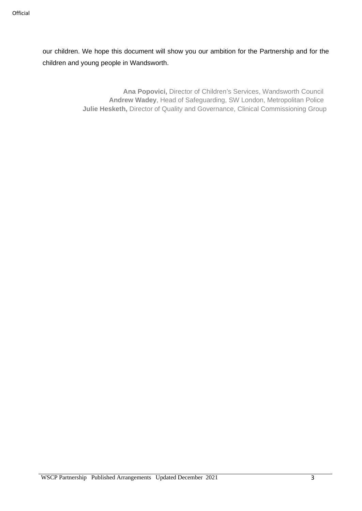our children. We hope this document will show you our ambition for the Partnership and for the children and young people in Wandsworth.

> **Ana Popovici,** Director of Children's Services, Wandsworth Council **Andrew Wadey**, Head of Safeguarding, SW London, Metropolitan Police **Julie Hesketh,** Director of Quality and Governance, Clinical Commissioning Group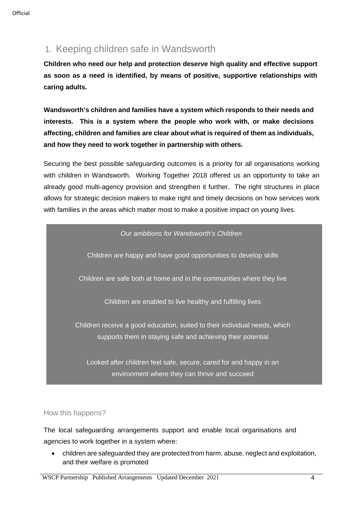# 1. Keeping children safe in Wandsworth

**Children who need our help and protection deserve high quality and effective support as soon as a need is identified, by means of positive, supportive relationships with caring adults.**

**Wandsworth's children and families have a system which responds to their needs and interests. This is a system where the people who work with, or make decisions affecting, children and families are clear about what is required of them as individuals, and how they need to work together in partnership with others.**

Securing the best possible safeguarding outcomes is a priority for all organisations working with children in Wandsworth. Working Together 2018 offered us an opportunity to take an already good multi-agency provision and strengthen it further. The right structures in place allows for strategic decision makers to make right and timely decisions on how services work with families in the areas which matter most to make a positive impact on young lives.



environment where they can thrive and succeed

### How this happens?

The local safeguarding arrangements support and enable local organisations and agencies to work together in a system where:

• children are safeguarded they are protected from harm, abuse, neglect and exploitation, and their welfare is promoted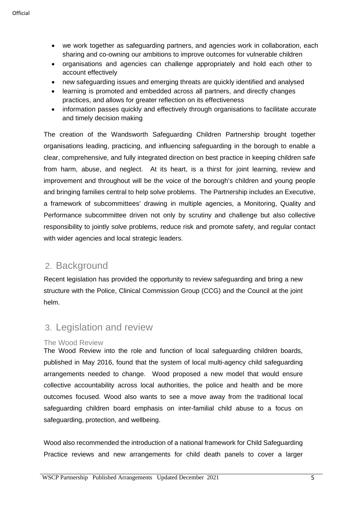- we work together as safeguarding partners, and agencies work in collaboration, each sharing and co-owning our ambitions to improve outcomes for vulnerable children
- organisations and agencies can challenge appropriately and hold each other to account effectively
- new safeguarding issues and emerging threats are quickly identified and analysed
- learning is promoted and embedded across all partners, and directly changes practices, and allows for greater reflection on its effectiveness
- information passes quickly and effectively through organisations to facilitate accurate and timely decision making

The creation of the Wandsworth Safeguarding Children Partnership brought together organisations leading, practicing, and influencing safeguarding in the borough to enable a clear, comprehensive, and fully integrated direction on best practice in keeping children safe from harm, abuse, and neglect. At its heart, is a thirst for joint learning, review and improvement and throughout will be the voice of the borough's children and young people and bringing families central to help solve problems. The Partnership includes an Executive, a framework of subcommittees' drawing in multiple agencies, a Monitoring, Quality and Performance subcommittee driven not only by scrutiny and challenge but also collective responsibility to jointly solve problems, reduce risk and promote safety, and regular contact with wider agencies and local strategic leaders.

# 2. Background

Recent legislation has provided the opportunity to review safeguarding and bring a new structure with the Police, Clinical Commission Group (CCG) and the Council at the joint helm.

## 3. Legislation and review

### The Wood Review

The Wood Review into the role and function of local safeguarding children boards, published in May 2016, found that the system of local multi-agency child safeguarding arrangements needed to change. Wood proposed a new model that would ensure collective accountability across local authorities, the police and health and be more outcomes focused. Wood also wants to see a move away from the traditional local safeguarding children board emphasis on inter-familial child abuse to a focus on safeguarding, protection, and wellbeing.

Wood also recommended the introduction of a national framework for Child Safeguarding Practice reviews and new arrangements for child death panels to cover a larger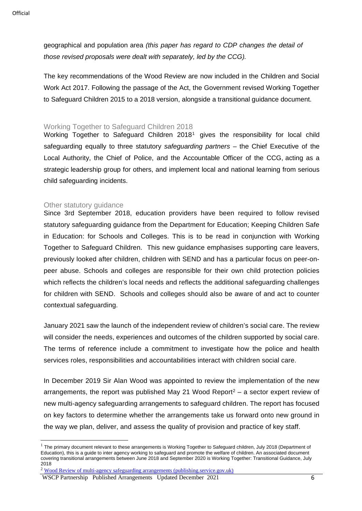geographical and population area *(this paper has regard to CDP changes the detail of those revised proposals were dealt with separately, led by the CCG).*

The key recommendations of the Wood Review are now included in the Children and Social Work Act 2017. Following the passage of the Act, the Government revised Working Together to Safeguard Children 2015 to a 2018 version, alongside a transitional guidance document.

#### Working Together to Safeguard Children 2018

Working Together to Safeguard Children 2018[1](#page-5-0) gives the responsibility for local child safeguarding equally to three statutory *safeguarding partners* – the Chief Executive of the Local Authority, the Chief of Police, and the Accountable Officer of the CCG, acting as a strategic leadership group for others, and implement local and national learning from serious child safeguarding incidents.

#### Other statutory quidance

Since 3rd September 2018, education providers have been required to follow revised statutory safeguarding guidance from the Department for Education; Keeping Children Safe in Education: for Schools and Colleges. This is to be read in conjunction with Working Together to Safeguard Children. This new guidance emphasises supporting care leavers, previously looked after children, children with SEND and has a particular focus on peer-onpeer abuse. Schools and colleges are responsible for their own child protection policies which reflects the children's local needs and reflects the additional safeguarding challenges for children with SEND. Schools and colleges should also be aware of and act to counter contextual safeguarding.

January 2021 saw the launch of the independent review of children's social care. The review will consider the needs, experiences and outcomes of the children supported by social care. The terms of reference include a commitment to investigate how the police and health services roles, responsibilities and accountabilities interact with children social care.

In December 2019 Sir Alan Wood was appointed to review the implementation of the new arrangements, the report was published May [2](#page-5-1)1 Wood Report<sup>2</sup> – a sector expert review of new multi-agency safeguarding arrangements to safeguard children. The report has focused on key factors to determine whether the arrangements take us forward onto new ground in the way we plan, deliver, and assess the quality of provision and practice of key staff.

<span id="page-5-0"></span> $1$  The primary document relevant to these arrangements is Working Together to Safeguard children, July 2018 (Department of Education), this is a guide to inter agency working to safeguard and promote the welfare of children. An associated document covering transitional arrangements between June 2018 and September 2020 is Working Together: Transitional Guidance, July 2018

<span id="page-5-1"></span><sup>&</sup>lt;sup>2</sup> [Wood Review of multi-agency safeguarding arrangements \(publishing.service.gov.uk\)](https://assets.publishing.service.gov.uk/government/uploads/system/uploads/attachment_data/file/987928/Wood_Review_of_multi-agency_safeguarding_arrangements_2021.pdf)

WSCP Partnership Published Arrangements Updated December 2021 6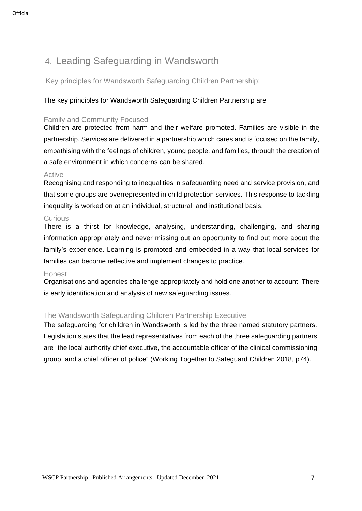# 4. Leading Safeguarding in Wandsworth

Key principles for Wandsworth Safeguarding Children Partnership:

### The key principles for Wandsworth Safeguarding Children Partnership are

#### Family and Community Focused

Children are protected from harm and their welfare promoted. Families are visible in the partnership. Services are delivered in a partnership which cares and is focused on the family, empathising with the feelings of children, young people, and families, through the creation of a safe environment in which concerns can be shared.

#### **Active**

Recognising and responding to inequalities in safeguarding need and service provision, and that some groups are overrepresented in child protection services. This response to tackling inequality is worked on at an individual, structural, and institutional basis.

#### **Curious**

There is a thirst for knowledge, analysing, understanding, challenging, and sharing information appropriately and never missing out an opportunity to find out more about the family's experience. Learning is promoted and embedded in a way that local services for families can become reflective and implement changes to practice.

#### **Honest**

Organisations and agencies challenge appropriately and hold one another to account. There is early identification and analysis of new safeguarding issues.

### The Wandsworth Safeguarding Children Partnership Executive

The safeguarding for children in Wandsworth is led by the three named statutory partners. Legislation states that the lead representatives from each of the three safeguarding partners are "the local authority chief executive, the accountable officer of the clinical commissioning group, and a chief officer of police" (Working Together to Safeguard Children 2018, p74).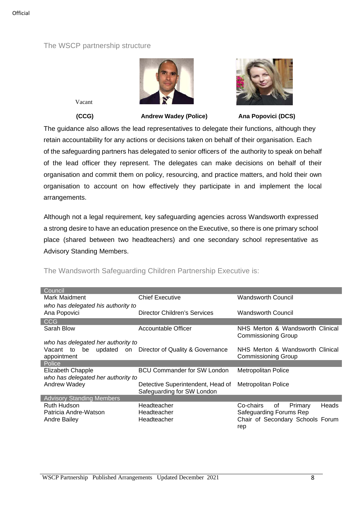#### The WSCP partnership structure





Vacant

 **(CCG) Andrew Wadey (Police) Ana Popovici (DCS)**

The guidance also allows the lead representatives to delegate their functions, although they retain accountability for any actions or decisions taken on behalf of their organisation. Each of the safeguarding partners has delegated to senior officers of the authority to speak on behalf of the lead officer they represent. The delegates can make decisions on behalf of their organisation and commit them on policy, resourcing, and practice matters, and hold their own organisation to account on how effectively they participate in and implement the local arrangements.

Although not a legal requirement, key safeguarding agencies across Wandsworth expressed a strong desire to have an education presence on the Executive, so there is one primary school place (shared between two headteachers) and one secondary school representative as Advisory Standing Members.

| Council                            |                                                |                                     |
|------------------------------------|------------------------------------------------|-------------------------------------|
| Mark Maidment                      | <b>Chief Executive</b>                         | Wandsworth Council                  |
| who has delegated his authority to |                                                |                                     |
| Ana Popovici                       | Director Children's Services                   | Wandsworth Council                  |
| <b>CCG</b>                         |                                                |                                     |
| Sarah Blow                         | Accountable Officer                            | NHS Merton & Wandsworth Clinical    |
|                                    |                                                | <b>Commissioning Group</b>          |
| who has delegated her authority to |                                                |                                     |
| Vacant to                          | be updated on Director of Quality & Governance | NHS Merton & Wandsworth Clinical    |
| appointment                        |                                                | Commissioning Group                 |
| Police                             |                                                |                                     |
| Elizabeth Chapple                  | <b>BCU Commander for SW London</b>             | Metropolitan Police                 |
| who has delegated her authority to |                                                |                                     |
| Andrew Wadey                       | Detective Superintendent, Head of              | Metropolitan Police                 |
|                                    | Safeguarding for SW London                     |                                     |
| <b>Advisory Standing Members</b>   |                                                |                                     |
| <b>Ruth Hudson</b>                 | Headteacher                                    | Heads<br>Co-chairs<br>of<br>Primary |
| Patricia Andre-Watson              | Headteacher                                    | Safeguarding Forums Rep             |
| Andre Bailey                       | Headteacher                                    | Chair of Secondary Schools Forum    |
|                                    |                                                | rep                                 |

### The Wandsworth Safeguarding Children Partnership Executive is: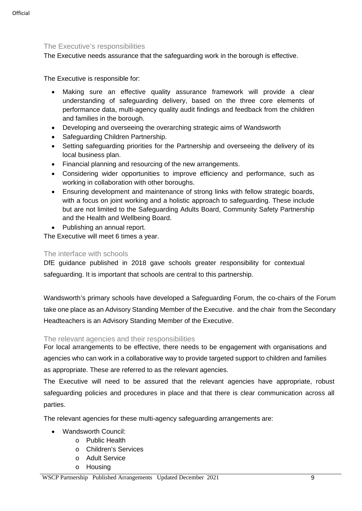#### The Executive's responsibilities

The Executive needs assurance that the safeguarding work in the borough is effective.

The Executive is responsible for:

- Making sure an effective quality assurance framework will provide a clear understanding of safeguarding delivery, based on the three core elements of performance data, multi-agency quality audit findings and feedback from the children and families in the borough.
- Developing and overseeing the overarching strategic aims of Wandsworth
- Safeguarding Children Partnership.
- Setting safeguarding priorities for the Partnership and overseeing the delivery of its local business plan.
- Financial planning and resourcing of the new arrangements.
- Considering wider opportunities to improve efficiency and performance, such as working in collaboration with other boroughs.
- Ensuring development and maintenance of strong links with fellow strategic boards, with a focus on joint working and a holistic approach to safeguarding. These include but are not limited to the Safeguarding Adults Board, Community Safety Partnership and the Health and Wellbeing Board.
- Publishing an annual report.

The Executive will meet 6 times a year.

#### The interface with schools

DfE guidance published in 2018 gave schools greater responsibility for contextual safeguarding. It is important that schools are central to this partnership.

Wandsworth's primary schools have developed a Safeguarding Forum, the co-chairs of the Forum take one place as an Advisory Standing Member of the Executive. and the chair from the Secondary Headteachers is an Advisory Standing Member of the Executive.

#### The relevant agencies and their responsibilities

For local arrangements to be effective, there needs to be engagement with organisations and agencies who can work in a collaborative way to provide targeted support to children and families as appropriate. These are referred to as the relevant agencies.

The Executive will need to be assured that the relevant agencies have appropriate, robust safeguarding policies and procedures in place and that there is clear communication across all parties.

The relevant agencies for these multi-agency safeguarding arrangements are:

- Wandsworth Council:
	- o Public Health
	- o Children's Services
	- o Adult Service
	- o Housing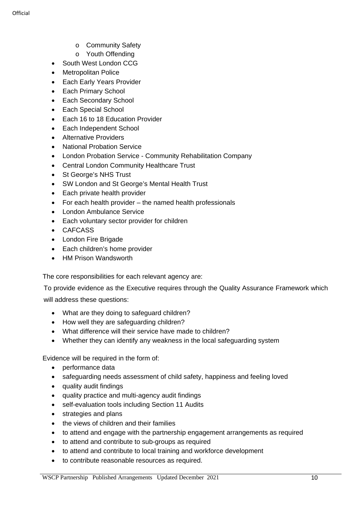- o Community Safety
- o Youth Offending
- South West London CCG
- Metropolitan Police
- Each Early Years Provider
- Each Primary School
- Each Secondary School
- Each Special School
- Each 16 to 18 Education Provider
- Each Independent School
- Alternative Providers
- National Probation Service
- London Probation Service Community Rehabilitation Company
- Central London Community Healthcare Trust
- St George's NHS Trust
- SW London and St George's Mental Health Trust
- Each private health provider
- For each health provider the named health professionals
- London Ambulance Service
- Each voluntary sector provider for children
- CAFCASS
- London Fire Brigade
- Each children's home provider
- HM Prison Wandsworth

The core responsibilities for each relevant agency are:

To provide evidence as the Executive requires through the Quality Assurance Framework which

will address these questions:

- What are they doing to safeguard children?
- How well they are safeguarding children?
- What difference will their service have made to children?
- Whether they can identify any weakness in the local safeguarding system

Evidence will be required in the form of:

- performance data
- safeguarding needs assessment of child safety, happiness and feeling loved
- quality audit findings
- quality practice and multi-agency audit findings
- self-evaluation tools including Section 11 Audits
- strategies and plans
- the views of children and their families
- to attend and engage with the partnership engagement arrangements as required
- to attend and contribute to sub-groups as required
- to attend and contribute to local training and workforce development
- to contribute reasonable resources as required.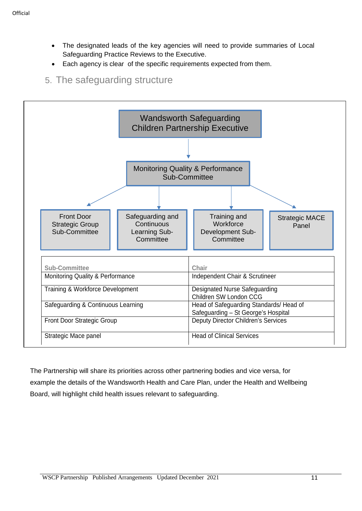- The designated leads of the key agencies will need to provide summaries of Local Safeguarding Practice Reviews to the Executive.
- Each agency is clear of the specific requirements expected from them.

# 5. The safeguarding structure



The Partnership will share its priorities across other partnering bodies and vice versa, for example the details of the Wandsworth Health and Care Plan, under the Health and Wellbeing Board, will highlight child health issues relevant to safeguarding.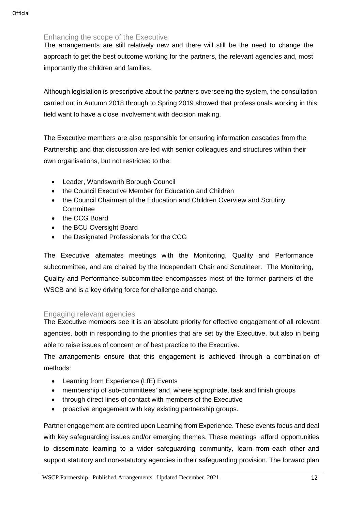### Enhancing the scope of the Executive

The arrangements are still relatively new and there will still be the need to change the approach to get the best outcome working for the partners, the relevant agencies and, most importantly the children and families.

Although legislation is prescriptive about the partners overseeing the system, the consultation carried out in Autumn 2018 through to Spring 2019 showed that professionals working in this field want to have a close involvement with decision making.

The Executive members are also responsible for ensuring information cascades from the Partnership and that discussion are led with senior colleagues and structures within their own organisations, but not restricted to the:

- Leader, Wandsworth Borough Council
- the Council Executive Member for Education and Children
- the Council Chairman of the Education and Children Overview and Scrutiny **Committee**
- the CCG Board
- the BCU Oversight Board
- the Designated Professionals for the CCG

The Executive alternates meetings with the Monitoring, Quality and Performance subcommittee, and are chaired by the Independent Chair and Scrutineer. The Monitoring, Quality and Performance subcommittee encompasses most of the former partners of the WSCB and is a key driving force for challenge and change.

### Engaging relevant agencies

The Executive members see it is an absolute priority for effective engagement of all relevant agencies, both in responding to the priorities that are set by the Executive, but also in being able to raise issues of concern or of best practice to the Executive.

The arrangements ensure that this engagement is achieved through a combination of methods:

- Learning from Experience (LfE) Events
- membership of sub-committees' and, where appropriate, task and finish groups
- through direct lines of contact with members of the Executive
- proactive engagement with key existing partnership groups.

Partner engagement are centred upon Learning from Experience. These events focus and deal with key safeguarding issues and/or emerging themes. These meetings afford opportunities to disseminate learning to a wider safeguarding community, learn from each other and support statutory and non-statutory agencies in their safeguarding provision. The forward plan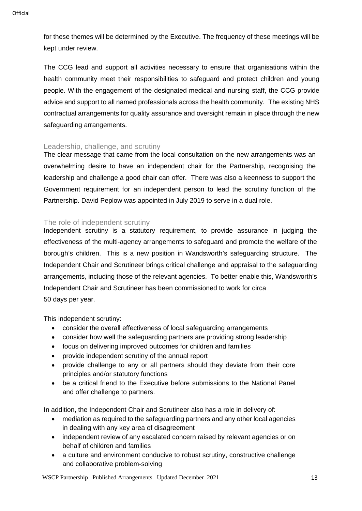for these themes will be determined by the Executive. The frequency of these meetings will be kept under review.

The CCG lead and support all activities necessary to ensure that organisations within the health community meet their responsibilities to safeguard and protect children and young people. With the engagement of the designated medical and nursing staff, the CCG provide advice and support to all named professionals across the health community. The existing NHS contractual arrangements for quality assurance and oversight remain in place through the new safeguarding arrangements.

#### Leadership, challenge, and scrutiny

The clear message that came from the local consultation on the new arrangements was an overwhelming desire to have an independent chair for the Partnership, recognising the leadership and challenge a good chair can offer. There was also a keenness to support the Government requirement for an independent person to lead the scrutiny function of the Partnership. David Peplow was appointed in July 2019 to serve in a dual role.

#### The role of independent scrutiny

Independent scrutiny is a statutory requirement, to provide assurance in judging the effectiveness of the multi-agency arrangements to safeguard and promote the welfare of the borough's children. This is a new position in Wandsworth's safeguarding structure. The Independent Chair and Scrutineer brings critical challenge and appraisal to the safeguarding arrangements, including those of the relevant agencies. To better enable this, Wandsworth's Independent Chair and Scrutineer has been commissioned to work for circa 50 days per year.

This independent scrutiny:

- consider the overall effectiveness of local safeguarding arrangements
- consider how well the safeguarding partners are providing strong leadership
- focus on delivering improved outcomes for children and families
- provide independent scrutiny of the annual report
- provide challenge to any or all partners should they deviate from their core principles and/or statutory functions
- be a critical friend to the Executive before submissions to the National Panel and offer challenge to partners.

In addition, the Independent Chair and Scrutineer also has a role in delivery of:

- mediation as required to the safeguarding partners and any other local agencies in dealing with any key area of disagreement
- independent review of any escalated concern raised by relevant agencies or on behalf of children and families
- a culture and environment conducive to robust scrutiny, constructive challenge and collaborative problem-solving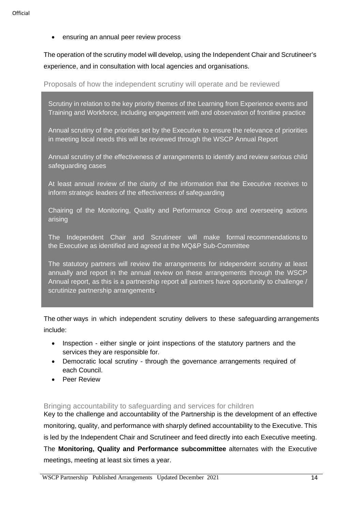• ensuring an annual peer review process

The operation of the scrutiny model will develop, using the Independent Chair and Scrutineer's experience, and in consultation with local agencies and organisations.

Proposals of how the independent scrutiny will operate and be reviewed

Scrutiny in relation to the key priority themes of the Learning from Experience events and Training and Workforce, including engagement with and observation of frontline practice

Annual scrutiny of the priorities set by the Executive to ensure the relevance of priorities in meeting local needs this will be reviewed through the WSCP Annual Report

Annual scrutiny of the effectiveness of arrangements to identify and review serious child safeguarding cases

At least annual review of the clarity of the information that the Executive receives to inform strategic leaders of the effectiveness of safeguarding

Chairing of the Monitoring, Quality and Performance Group and overseeing actions arising

The Independent Chair and Scrutineer will make formal recommendations to the Executive as identified and agreed at the MQ&P Sub-Committee

The statutory partners will review the arrangements for independent scrutiny at least annually and report in the annual review on these arrangements through the WSCP Annual report, as this is a partnership report all partners have opportunity to challenge / scrutinize partnership arrangements.

The other ways in which independent scrutiny delivers to these safeguarding arrangements include:

- Inspection either single or joint inspections of the statutory partners and the services they are responsible for.
- Democratic local scrutiny through the governance arrangements required of each Council.
- Peer Review

Bringing accountability to safeguarding and services for children

Key to the challenge and accountability of the Partnership is the development of an effective monitoring, quality, and performance with sharply defined accountability to the Executive. This is led by the Independent Chair and Scrutineer and feed directly into each Executive meeting. The **Monitoring, Quality and Performance subcommittee** alternates with the Executive meetings, meeting at least six times a year.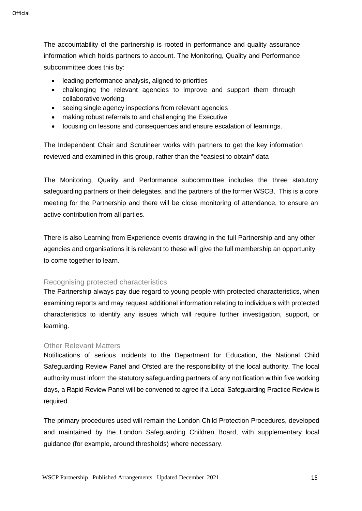The accountability of the partnership is rooted in performance and quality assurance information which holds partners to account. The Monitoring, Quality and Performance subcommittee does this by:

- leading performance analysis, aligned to priorities
- challenging the relevant agencies to improve and support them through collaborative working
- seeing single agency inspections from relevant agencies
- making robust referrals to and challenging the Executive
- focusing on lessons and consequences and ensure escalation of learnings.

The Independent Chair and Scrutineer works with partners to get the key information reviewed and examined in this group, rather than the "easiest to obtain" data

The Monitoring, Quality and Performance subcommittee includes the three statutory safeguarding partners or their delegates, and the partners of the former WSCB. This is a core meeting for the Partnership and there will be close monitoring of attendance, to ensure an active contribution from all parties.

There is also Learning from Experience events drawing in the full Partnership and any other agencies and organisations it is relevant to these will give the full membership an opportunity to come together to learn.

#### Recognising protected characteristics

The Partnership always pay due regard to young people with protected characteristics, when examining reports and may request additional information relating to individuals with protected characteristics to identify any issues which will require further investigation, support, or learning.

#### Other Relevant Matters

Notifications of serious incidents to the Department for Education, the National Child Safeguarding Review Panel and Ofsted are the responsibility of the local authority. The local authority must inform the statutory safeguarding partners of any notification within five working days, a Rapid Review Panel will be convened to agree if a Local Safeguarding Practice Review is required.

The primary procedures used will remain the London Child Protection Procedures, developed and maintained by the London Safeguarding Children Board, with supplementary local guidance (for example, around thresholds) where necessary.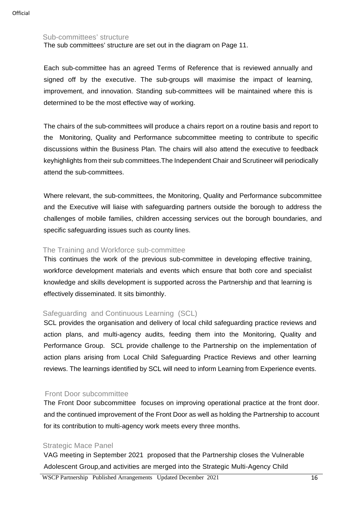#### Sub-committees' structure

The sub committees' structure are set out in the diagram on Page 11.

Each sub-committee has an agreed Terms of Reference that is reviewed annually and signed off by the executive. The sub-groups will maximise the impact of learning, improvement, and innovation. Standing sub-committees will be maintained where this is determined to be the most effective way of working.

The chairs of the sub-committees will produce a chairs report on a routine basis and report to the Monitoring, Quality and Performance subcommittee meeting to contribute to specific discussions within the Business Plan. The chairs will also attend the executive to feedback keyhighlights from their sub committees.The Independent Chair and Scrutineer will periodically attend the sub-committees.

Where relevant, the sub-committees, the Monitoring, Quality and Performance subcommittee and the Executive will liaise with safeguarding partners outside the borough to address the challenges of mobile families, children accessing services out the borough boundaries, and specific safeguarding issues such as county lines.

#### The Training and Workforce sub-committee

This continues the work of the previous sub-committee in developing effective training, workforce development materials and events which ensure that both core and specialist knowledge and skills development is supported across the Partnership and that learning is effectively disseminated. It sits bimonthly.

#### Safeguarding and Continuous Learning (SCL)

SCL provides the organisation and delivery of local child safeguarding practice reviews and action plans, and multi-agency audits, feeding them into the Monitoring, Quality and Performance Group. SCL provide challenge to the Partnership on the implementation of action plans arising from Local Child Safeguarding Practice Reviews and other learning reviews. The learnings identified by SCL will need to inform Learning from Experience events.

#### Front Door subcommittee

The Front Door subcommittee focuses on improving operational practice at the front door. and the continued improvement of the Front Door as well as holding the Partnership to account for its contribution to multi-agency work meets every three months.

#### Strategic Mace Panel

VAG meeting in September 2021 proposed that the Partnership closes the Vulnerable Adolescent Group,and activities are merged into the Strategic Multi-Agency Child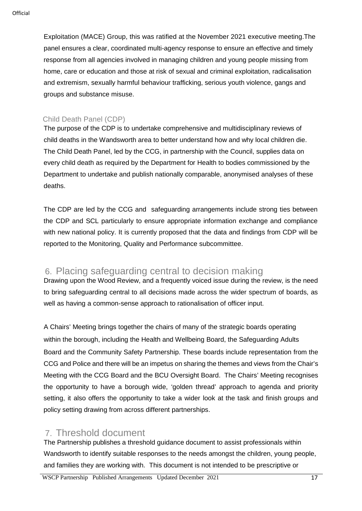Exploitation (MACE) Group, this was ratified at the November 2021 executive meeting.The panel ensures a clear, coordinated multi-agency response to ensure an effective and timely response from all agencies involved in managing children and young people missing from home, care or education and those at risk of sexual and criminal exploitation, radicalisation and extremism, sexually harmful behaviour trafficking, serious youth violence, gangs and groups and substance misuse.

### Child Death Panel (CDP)

The purpose of the CDP is to undertake comprehensive and multidisciplinary reviews of child deaths in the Wandsworth area to better understand how and why local children die. The Child Death Panel, led by the CCG, in partnership with the Council, supplies data on every child death as required by the Department for Health to bodies commissioned by the Department to undertake and publish nationally comparable, anonymised analyses of these deaths.

The CDP are led by the CCG and safeguarding arrangements include strong ties between the CDP and SCL particularly to ensure appropriate information exchange and compliance with new national policy. It is currently proposed that the data and findings from CDP will be reported to the Monitoring, Quality and Performance subcommittee.

## 6. Placing safeguarding central to decision making

Drawing upon the Wood Review, and a frequently voiced issue during the review, is the need to bring safeguarding central to all decisions made across the wider spectrum of boards, as well as having a common-sense approach to rationalisation of officer input.

A Chairs' Meeting brings together the chairs of many of the strategic boards operating within the borough, including the Health and Wellbeing Board, the Safeguarding Adults Board and the Community Safety Partnership. These boards include representation from the CCG and Police and there will be an impetus on sharing the themes and views from the Chair's Meeting with the CCG Board and the BCU Oversight Board. The Chairs' Meeting recognises the opportunity to have a borough wide, 'golden thread' approach to agenda and priority setting, it also offers the opportunity to take a wider look at the task and finish groups and policy setting drawing from across different partnerships.

## 7. Threshold document

The Partnership publishes a threshold guidance document to assist professionals within Wandsworth to identify suitable responses to the needs amongst the children, young people, and families they are working with. This document is not intended to be prescriptive or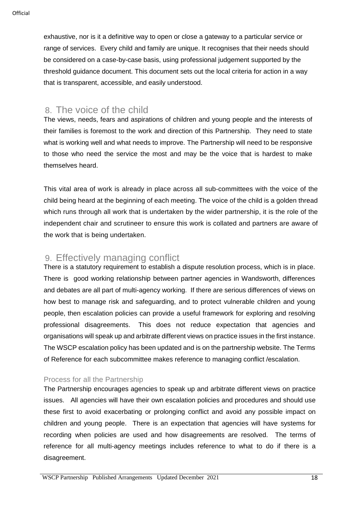exhaustive, nor is it a definitive way to open or close a gateway to a particular service or range of services. Every child and family are unique. It recognises that their needs should be considered on a case-by-case basis, using professional judgement supported by the threshold guidance document. This document sets out the local criteria for action in a way that is transparent, accessible, and easily understood.

## 8. The voice of the child

The views, needs, fears and aspirations of children and young people and the interests of their families is foremost to the work and direction of this Partnership. They need to state what is working well and what needs to improve. The Partnership will need to be responsive to those who need the service the most and may be the voice that is hardest to make themselves heard.

This vital area of work is already in place across all sub-committees with the voice of the child being heard at the beginning of each meeting. The voice of the child is a golden thread which runs through all work that is undertaken by the wider partnership, it is the role of the independent chair and scrutineer to ensure this work is collated and partners are aware of the work that is being undertaken.

## 9. Effectively managing conflict

There is a statutory requirement to establish a dispute resolution process, which is in place. There is good working relationship between partner agencies in Wandsworth, differences and debates are all part of multi-agency working. If there are serious differences of views on how best to manage risk and safeguarding, and to protect vulnerable children and young people, then escalation policies can provide a useful framework for exploring and resolving professional disagreements. This does not reduce expectation that agencies and organisations will speak up and arbitrate different views on practice issues in the first instance. The WSCP escalation policy has been updated and is on the partnership website. The Terms of Reference for each subcommittee makes reference to managing conflict /escalation.

### Process for all the Partnership

The Partnership encourages agencies to speak up and arbitrate different views on practice issues. All agencies will have their own escalation policies and procedures and should use these first to avoid exacerbating or prolonging conflict and avoid any possible impact on children and young people. There is an expectation that agencies will have systems for recording when policies are used and how disagreements are resolved. The terms of reference for all multi-agency meetings includes reference to what to do if there is a disagreement.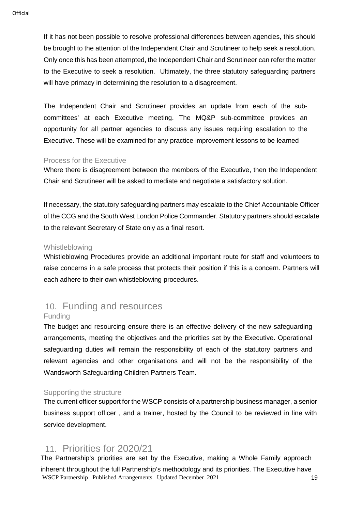If it has not been possible to resolve professional differences between agencies, this should be brought to the attention of the Independent Chair and Scrutineer to help seek a resolution. Only once this has been attempted, the Independent Chair and Scrutineer can refer the matter to the Executive to seek a resolution. Ultimately, the three statutory safeguarding partners will have primacy in determining the resolution to a disagreement.

The Independent Chair and Scrutineer provides an update from each of the subcommittees' at each Executive meeting. The MQ&P sub-committee provides an opportunity for all partner agencies to discuss any issues requiring escalation to the Executive. These will be examined for any practice improvement lessons to be learned

#### Process for the Executive

Where there is disagreement between the members of the Executive, then the Independent Chair and Scrutineer will be asked to mediate and negotiate a satisfactory solution.

If necessary, the statutory safeguarding partners may escalate to the Chief Accountable Officer of the CCG and the South West London Police Commander. Statutory partners should escalate to the relevant Secretary of State only as a final resort.

#### Whistleblowing

Whistleblowing Procedures provide an additional important route for staff and volunteers to raise concerns in a safe process that protects their position if this is a concern. Partners will each adhere to their own whistleblowing procedures.

### 10. Funding and resources Funding

The budget and resourcing ensure there is an effective delivery of the new safeguarding arrangements, meeting the objectives and the priorities set by the Executive. Operational safeguarding duties will remain the responsibility of each of the statutory partners and relevant agencies and other organisations and will not be the responsibility of the Wandsworth Safeguarding Children Partners Team.

### Supporting the structure

The current officer support for the WSCP consists of a partnership business manager, a senior business support officer , and a trainer, hosted by the Council to be reviewed in line with service development.

## 11. Priorities for 2020/21

WSCP Partnership Published Arrangements Updated December 2021 19 The Partnership's priorities are set by the Executive, making a Whole Family approach inherent throughout the full Partnership's methodology and its priorities. The Executive have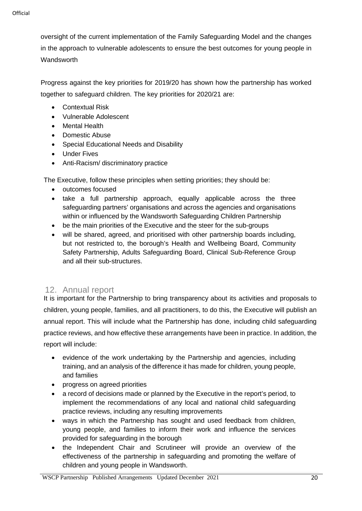oversight of the current implementation of the Family Safeguarding Model and the changes in the approach to vulnerable adolescents to ensure the best outcomes for young people in **Wandsworth** 

Progress against the key priorities for 2019/20 has shown how the partnership has worked together to safeguard children. The key priorities for 2020/21 are:

- Contextual Risk
- Vulnerable Adolescent
- Mental Health
- Domestic Abuse
- Special Educational Needs and Disability
- Under Fives
- Anti-Racism/ discriminatory practice

The Executive, follow these principles when setting priorities; they should be:

- outcomes focused
- take a full partnership approach, equally applicable across the three safeguarding partners' organisations and across the agencies and organisations within or influenced by the Wandsworth Safeguarding Children Partnership
- be the main priorities of the Executive and the steer for the sub-groups
- will be shared, agreed, and prioritised with other partnership boards including, but not restricted to, the borough's Health and Wellbeing Board, Community Safety Partnership, Adults Safeguarding Board, Clinical Sub-Reference Group and all their sub-structures.

### 12. Annual report

It is important for the Partnership to bring transparency about its activities and proposals to children, young people, families, and all practitioners, to do this, the Executive will publish an annual report. This will include what the Partnership has done, including child safeguarding practice reviews, and how effective these arrangements have been in practice. In addition, the report will include:

- evidence of the work undertaking by the Partnership and agencies, including training, and an analysis of the difference it has made for children, young people, and families
- progress on agreed priorities
- a record of decisions made or planned by the Executive in the report's period, to implement the recommendations of any local and national child safeguarding practice reviews, including any resulting improvements
- ways in which the Partnership has sought and used feedback from children, young people, and families to inform their work and influence the services provided for safeguarding in the borough
- the Independent Chair and Scrutineer will provide an overview of the effectiveness of the partnership in safeguarding and promoting the welfare of children and young people in Wandsworth.